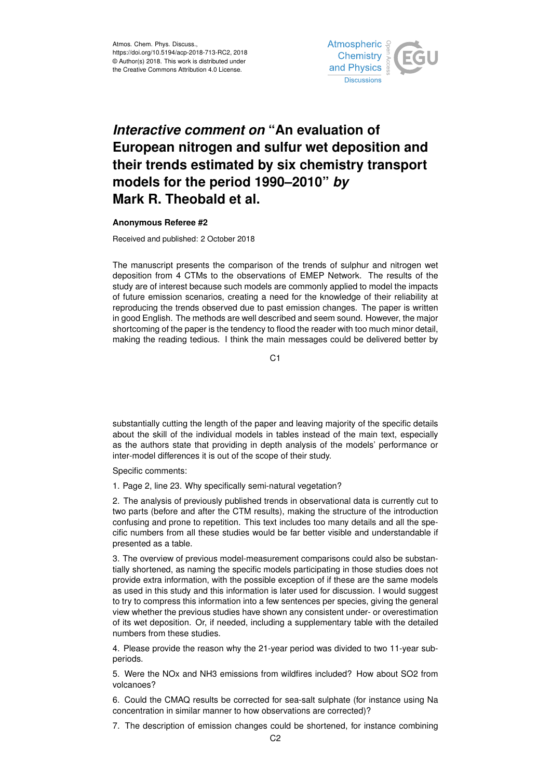

## *Interactive comment on* **"An evaluation of European nitrogen and sulfur wet deposition and their trends estimated by six chemistry transport models for the period 1990–2010"** *by* **Mark R. Theobald et al.**

## **Anonymous Referee #2**

Received and published: 2 October 2018

The manuscript presents the comparison of the trends of sulphur and nitrogen wet deposition from 4 CTMs to the observations of EMEP Network. The results of the study are of interest because such models are commonly applied to model the impacts of future emission scenarios, creating a need for the knowledge of their reliability at reproducing the trends observed due to past emission changes. The paper is written in good English. The methods are well described and seem sound. However, the major shortcoming of the paper is the tendency to flood the reader with too much minor detail, making the reading tedious. I think the main messages could be delivered better by

C<sub>1</sub>

substantially cutting the length of the paper and leaving majority of the specific details about the skill of the individual models in tables instead of the main text, especially as the authors state that providing in depth analysis of the models' performance or inter-model differences it is out of the scope of their study.

Specific comments:

1. Page 2, line 23. Why specifically semi-natural vegetation?

2. The analysis of previously published trends in observational data is currently cut to two parts (before and after the CTM results), making the structure of the introduction confusing and prone to repetition. This text includes too many details and all the specific numbers from all these studies would be far better visible and understandable if presented as a table.

3. The overview of previous model-measurement comparisons could also be substantially shortened, as naming the specific models participating in those studies does not provide extra information, with the possible exception of if these are the same models as used in this study and this information is later used for discussion. I would suggest to try to compress this information into a few sentences per species, giving the general view whether the previous studies have shown any consistent under- or overestimation of its wet deposition. Or, if needed, including a supplementary table with the detailed numbers from these studies.

4. Please provide the reason why the 21-year period was divided to two 11-year subperiods.

5. Were the NOx and NH3 emissions from wildfires included? How about SO2 from volcanoes?

6. Could the CMAQ results be corrected for sea-salt sulphate (for instance using Na concentration in similar manner to how observations are corrected)?

7. The description of emission changes could be shortened, for instance combining